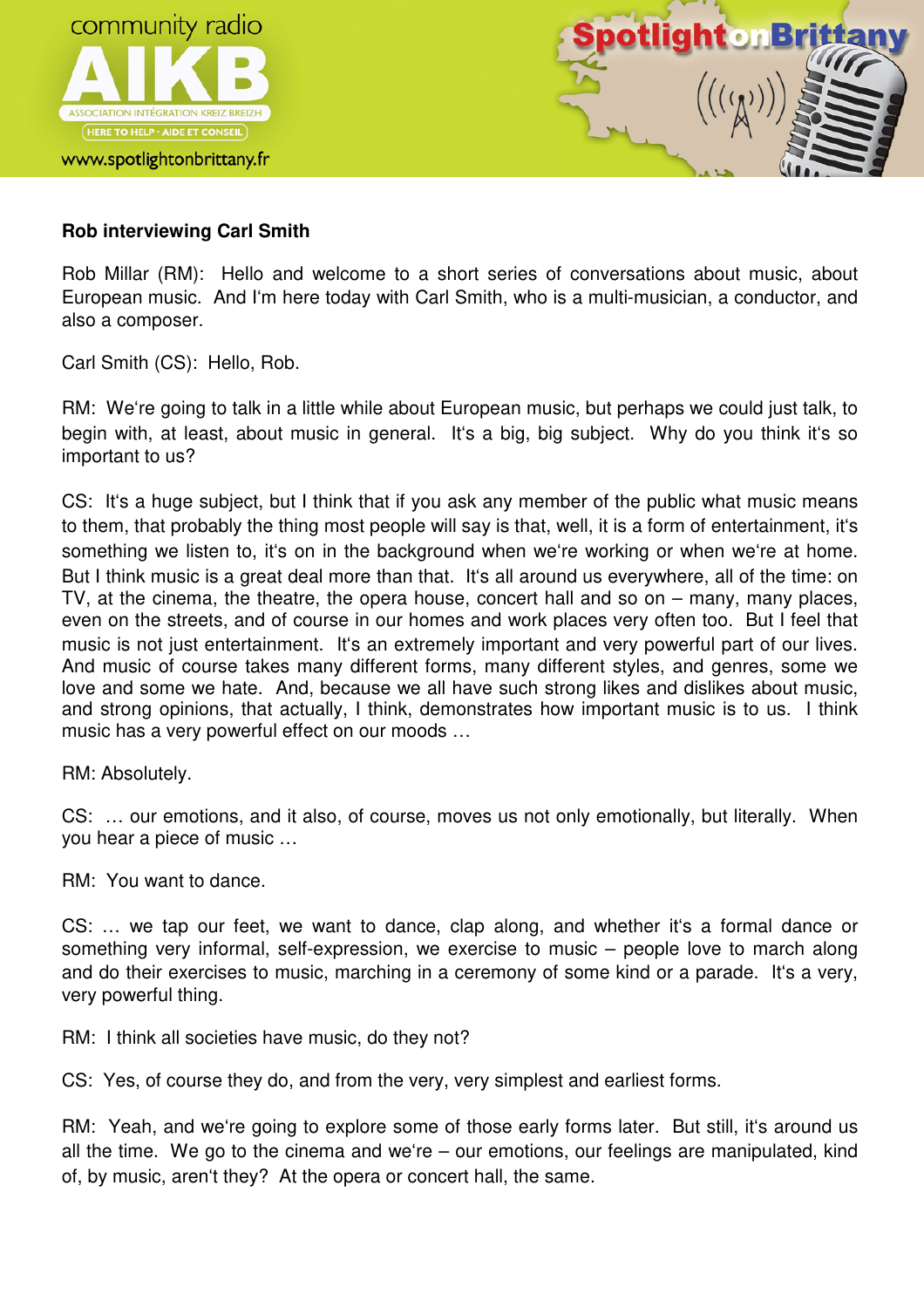



## **Rob interviewing Carl Smith**

Rob Millar (RM): Hello and welcome to a short series of conversations about music, about European music. And I'm here today with Carl Smith, who is a multi-musician, a conductor, and also a composer.

Carl Smith (CS): Hello, Rob.

RM: We're going to talk in a little while about European music, but perhaps we could just talk, to begin with, at least, about music in general. It's a big, big subject. Why do you think it's so important to us?

CS: It's a huge subject, but I think that if you ask any member of the public what music means to them, that probably the thing most people will say is that, well, it is a form of entertainment, it's something we listen to, it's on in the background when we're working or when we're at home. But I think music is a great deal more than that. It's all around us everywhere, all of the time: on TV, at the cinema, the theatre, the opera house, concert hall and so on – many, many places, even on the streets, and of course in our homes and work places very often too. But I feel that music is not just entertainment. It's an extremely important and very powerful part of our lives. And music of course takes many different forms, many different styles, and genres, some we love and some we hate. And, because we all have such strong likes and dislikes about music, and strong opinions, that actually, I think, demonstrates how important music is to us. I think music has a very powerful effect on our moods …

RM: Absolutely.

CS: … our emotions, and it also, of course, moves us not only emotionally, but literally. When you hear a piece of music …

RM: You want to dance.

CS: … we tap our feet, we want to dance, clap along, and whether it's a formal dance or something very informal, self-expression, we exercise to music – people love to march along and do their exercises to music, marching in a ceremony of some kind or a parade. It's a very, very powerful thing.

RM: I think all societies have music, do they not?

CS: Yes, of course they do, and from the very, very simplest and earliest forms.

RM: Yeah, and we're going to explore some of those early forms later. But still, it's around us all the time. We go to the cinema and we're – our emotions, our feelings are manipulated, kind of, by music, aren't they? At the opera or concert hall, the same.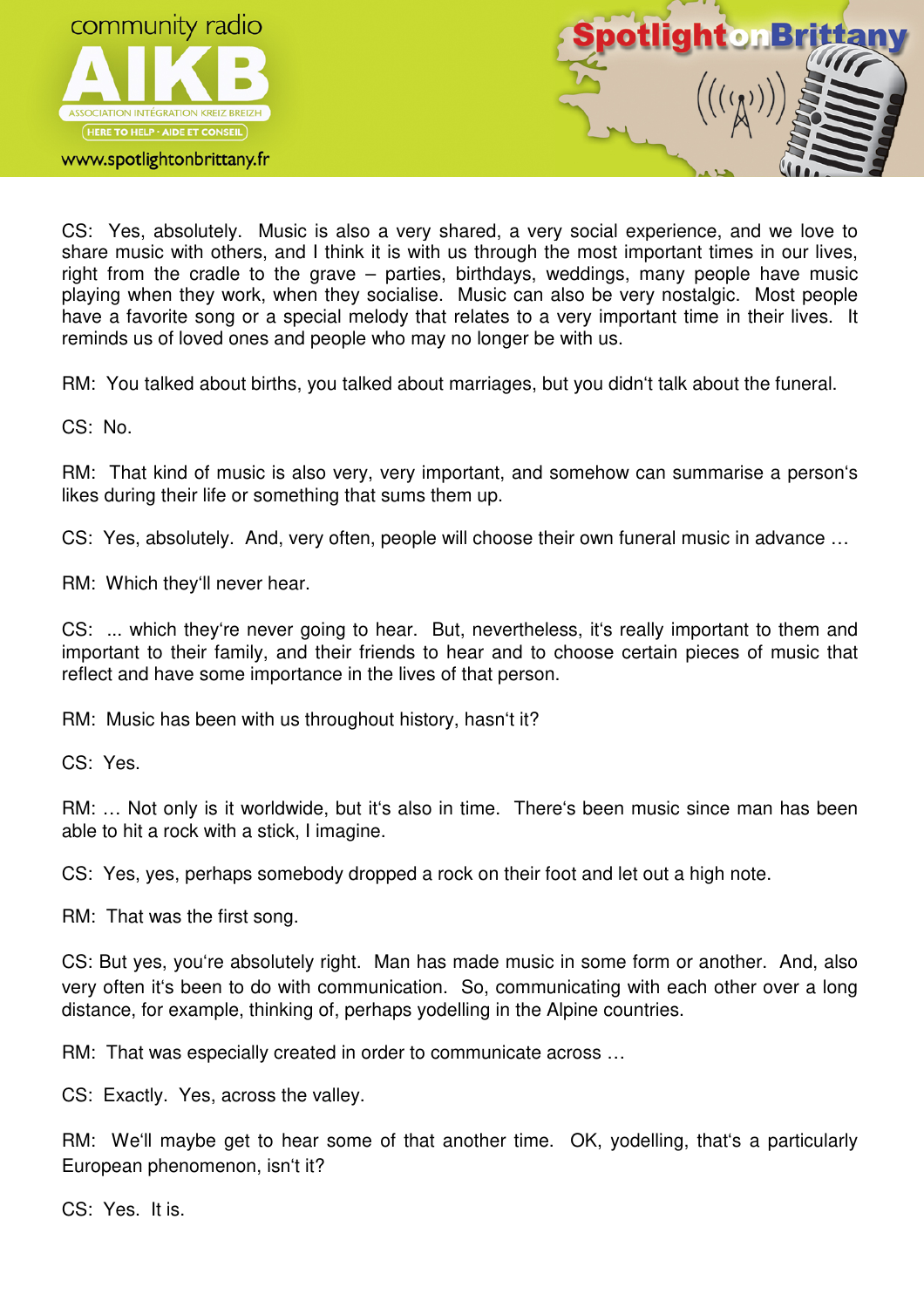

## www.spotlightonbrittany.fr



CS: Yes, absolutely. Music is also a very shared, a very social experience, and we love to share music with others, and I think it is with us through the most important times in our lives, right from the cradle to the grave – parties, birthdays, weddings, many people have music playing when they work, when they socialise. Music can also be very nostalgic. Most people have a favorite song or a special melody that relates to a very important time in their lives. It reminds us of loved ones and people who may no longer be with us.

RM: You talked about births, you talked about marriages, but you didn't talk about the funeral.

CS: No.

RM: That kind of music is also very, very important, and somehow can summarise a person's likes during their life or something that sums them up.

CS: Yes, absolutely. And, very often, people will choose their own funeral music in advance …

RM: Which they'll never hear.

CS: ... which they're never going to hear. But, nevertheless, it's really important to them and important to their family, and their friends to hear and to choose certain pieces of music that reflect and have some importance in the lives of that person.

RM: Music has been with us throughout history, hasn't it?

CS: Yes.

RM: … Not only is it worldwide, but it's also in time. There's been music since man has been able to hit a rock with a stick, I imagine.

CS: Yes, yes, perhaps somebody dropped a rock on their foot and let out a high note.

RM: That was the first song.

CS: But yes, you're absolutely right. Man has made music in some form or another. And, also very often it's been to do with communication. So, communicating with each other over a long distance, for example, thinking of, perhaps yodelling in the Alpine countries.

RM: That was especially created in order to communicate across …

CS: Exactly. Yes, across the valley.

RM: We'll maybe get to hear some of that another time. OK, yodelling, that's a particularly European phenomenon, isn't it?

CS: Yes. It is.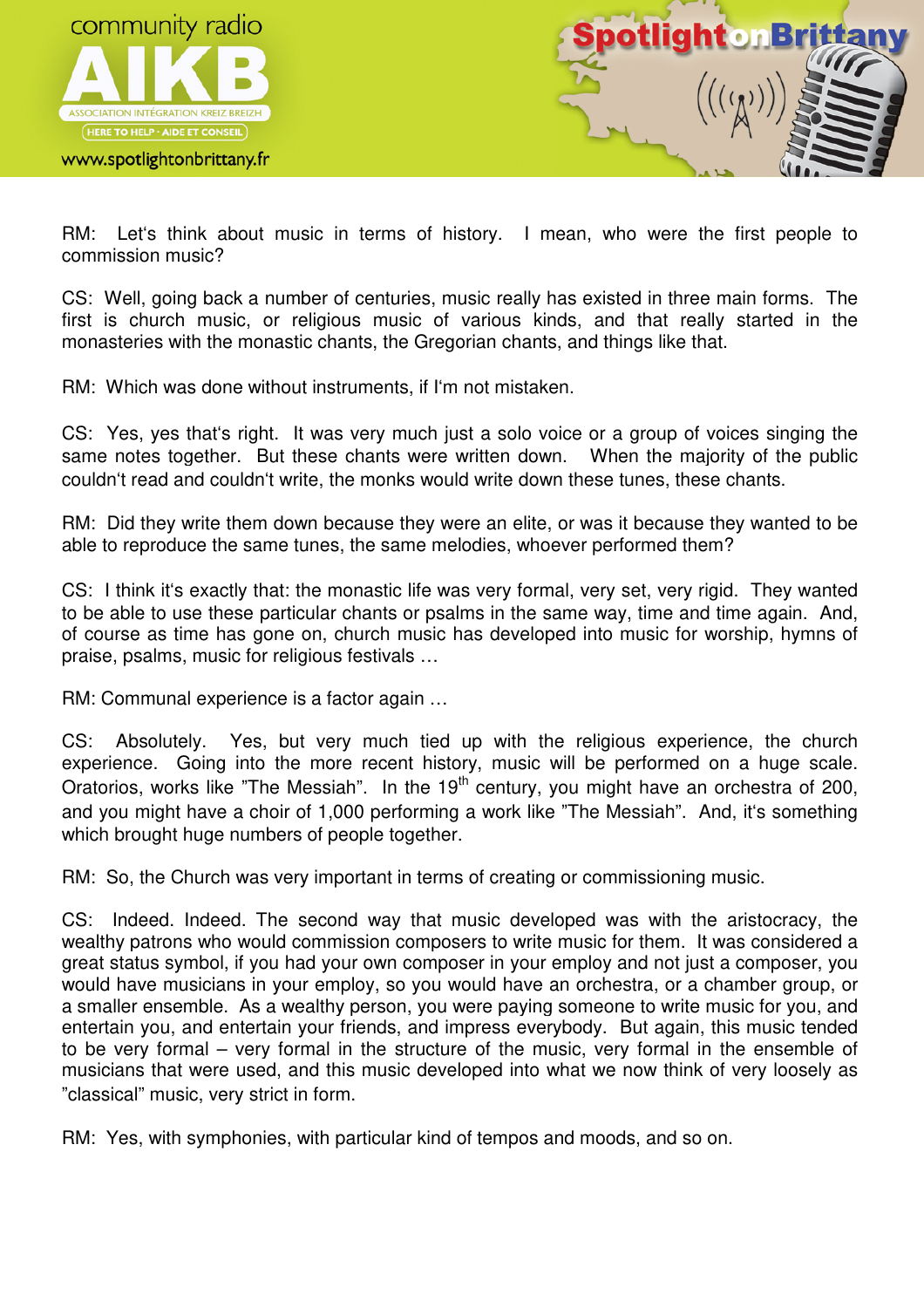

www.spotlightonbrittany.fr



RM: Let's think about music in terms of history. I mean, who were the first people to commission music?

CS: Well, going back a number of centuries, music really has existed in three main forms. The first is church music, or religious music of various kinds, and that really started in the monasteries with the monastic chants, the Gregorian chants, and things like that.

RM: Which was done without instruments, if I'm not mistaken.

CS: Yes, yes that's right. It was very much just a solo voice or a group of voices singing the same notes together. But these chants were written down. When the majority of the public couldn't read and couldn't write, the monks would write down these tunes, these chants.

RM: Did they write them down because they were an elite, or was it because they wanted to be able to reproduce the same tunes, the same melodies, whoever performed them?

CS: I think it's exactly that: the monastic life was very formal, very set, very rigid. They wanted to be able to use these particular chants or psalms in the same way, time and time again. And, of course as time has gone on, church music has developed into music for worship, hymns of praise, psalms, music for religious festivals …

RM: Communal experience is a factor again …

CS: Absolutely. Yes, but very much tied up with the religious experience, the church experience. Going into the more recent history, music will be performed on a huge scale. Oratorios, works like "The Messiah". In the  $19<sup>th</sup>$  century, you might have an orchestra of 200, and you might have a choir of 1,000 performing a work like "The Messiah". And, it's something which brought huge numbers of people together.

RM: So, the Church was very important in terms of creating or commissioning music.

CS: Indeed. Indeed. The second way that music developed was with the aristocracy, the wealthy patrons who would commission composers to write music for them. It was considered a great status symbol, if you had your own composer in your employ and not just a composer, you would have musicians in your employ, so you would have an orchestra, or a chamber group, or a smaller ensemble. As a wealthy person, you were paying someone to write music for you, and entertain you, and entertain your friends, and impress everybody. But again, this music tended to be very formal – very formal in the structure of the music, very formal in the ensemble of musicians that were used, and this music developed into what we now think of very loosely as "classical" music, very strict in form.

RM: Yes, with symphonies, with particular kind of tempos and moods, and so on.